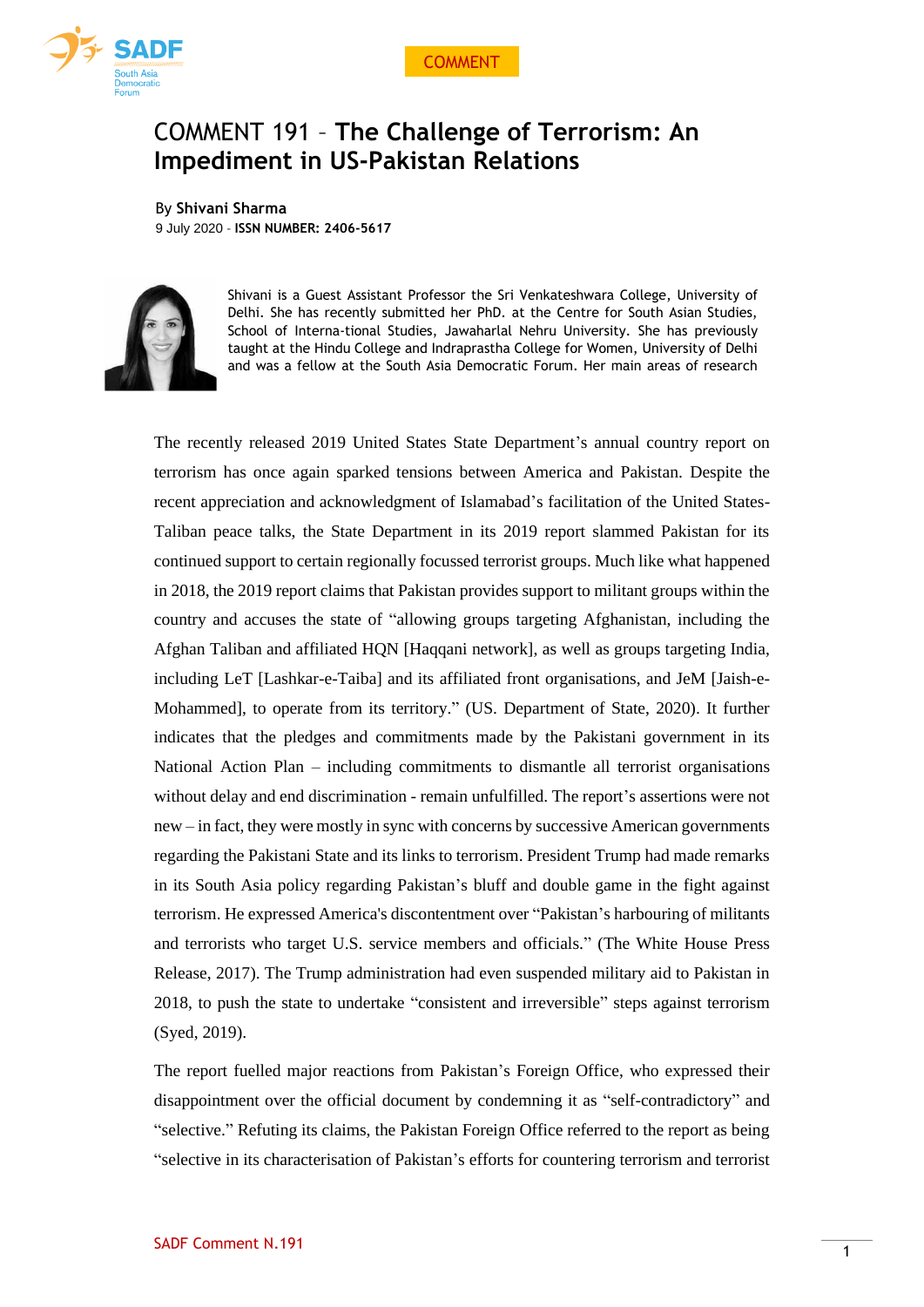



# COMMENT 191 – **The Challenge of Terrorism: An Impediment in US-Pakistan Relations**

By **Shivani Sharma** 9 July 2020 - **ISSN NUMBER: 2406-5617**



Shivani is a Guest Assistant Professor the Sri Venkateshwara College, University of Delhi. She has recently submitted her PhD. at the Centre for South Asian Studies, School of Interna-tional Studies, Jawaharlal Nehru University. She has previously taught at the Hindu College and Indraprastha College for Women, University of Delhi and was a fellow at the South Asia Democratic Forum. Her main areas of research

The recently released 2019 United States State Department's annual country report on terrorism has once again sparked tensions between America and Pakistan. Despite the recent appreciation and acknowledgment of Islamabad's facilitation of the United States-Taliban peace talks, the State Department in its 2019 report slammed Pakistan for its continued support to certain regionally focussed terrorist groups. Much like what happened in 2018, the 2019 report claims that Pakistan provides support to militant groups within the country and accuses the state of "allowing groups targeting Afghanistan, including the Afghan Taliban and affiliated HQN [Haqqani network], as well as groups targeting India, including LeT [Lashkar-e-Taiba] and its affiliated front organisations, and JeM [Jaish-e-Mohammed], to operate from its territory." (US. Department of State, 2020). It further indicates that the pledges and commitments made by the Pakistani government in its National Action Plan – including commitments to dismantle all terrorist organisations without delay and end discrimination - remain unfulfilled. The report's assertions were not new – in fact, they were mostly in sync with concerns by successive American governments regarding the Pakistani State and its links to terrorism. President Trump had made remarks in its South Asia policy regarding Pakistan's bluff and double game in the fight against terrorism. He expressed America's discontentment over "Pakistan's harbouring of militants and terrorists who target U.S. service members and officials." (The White House Press Release, 2017). The Trump administration had even suspended military aid to Pakistan in 2018, to push the state to undertake "consistent and irreversible" steps against terrorism (Syed, 2019).

The report fuelled major reactions from Pakistan's Foreign Office, who expressed their disappointment over the official document by condemning it as "self-contradictory" and "selective." Refuting its claims, the Pakistan Foreign Office referred to the report as being "selective in its characterisation of Pakistan's efforts for countering terrorism and terrorist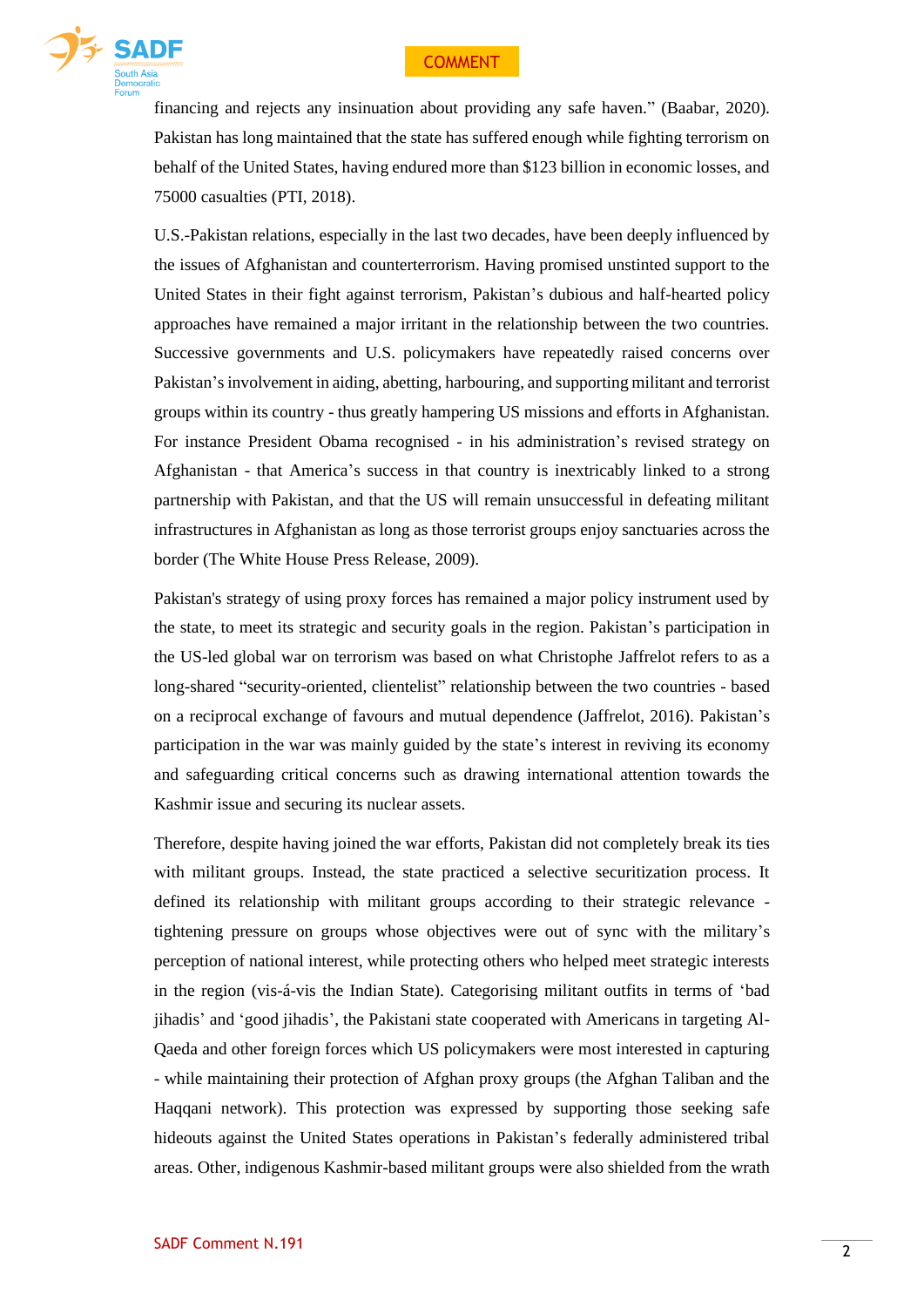# COMMENT



financing and rejects any insinuation about providing any safe haven." (Baabar, 2020). Pakistan has long maintained that the state has suffered enough while fighting terrorism on behalf of the United States, having endured more than \$123 billion in economic losses, and 75000 casualties (PTI, 2018).

U.S.-Pakistan relations, especially in the last two decades, have been deeply influenced by the issues of Afghanistan and counterterrorism. Having promised unstinted support to the United States in their fight against terrorism, Pakistan's dubious and half-hearted policy approaches have remained a major irritant in the relationship between the two countries. Successive governments and U.S. policymakers have repeatedly raised concerns over Pakistan's involvement in aiding, abetting, harbouring, and supporting militant and terrorist groups within its country - thus greatly hampering US missions and efforts in Afghanistan. For instance President Obama recognised - in his administration's revised strategy on Afghanistan - that America's success in that country is inextricably linked to a strong partnership with Pakistan, and that the US will remain unsuccessful in defeating militant infrastructures in Afghanistan as long as those terrorist groups enjoy sanctuaries across the border (The White House Press Release, 2009).

Pakistan's strategy of using proxy forces has remained a major policy instrument used by the state, to meet its strategic and security goals in the region. Pakistan's participation in the US-led global war on terrorism was based on what Christophe Jaffrelot refers to as a long-shared "security-oriented, clientelist" relationship between the two countries - based on a reciprocal exchange of favours and mutual dependence (Jaffrelot, 2016). Pakistan's participation in the war was mainly guided by the state's interest in reviving its economy and safeguarding critical concerns such as drawing international attention towards the Kashmir issue and securing its nuclear assets.

Therefore, despite having joined the war efforts, Pakistan did not completely break its ties with militant groups. Instead, the state practiced a selective securitization process. It defined its relationship with militant groups according to their strategic relevance tightening pressure on groups whose objectives were out of sync with the military's perception of national interest, while protecting others who helped meet strategic interests in the region (vis-á-vis the Indian State). Categorising militant outfits in terms of 'bad jihadis' and 'good jihadis', the Pakistani state cooperated with Americans in targeting Al-Qaeda and other foreign forces which US policymakers were most interested in capturing - while maintaining their protection of Afghan proxy groups (the Afghan Taliban and the Haqqani network). This protection was expressed by supporting those seeking safe hideouts against the United States operations in Pakistan's federally administered tribal areas. Other, indigenous Kashmir-based militant groups were also shielded from the wrath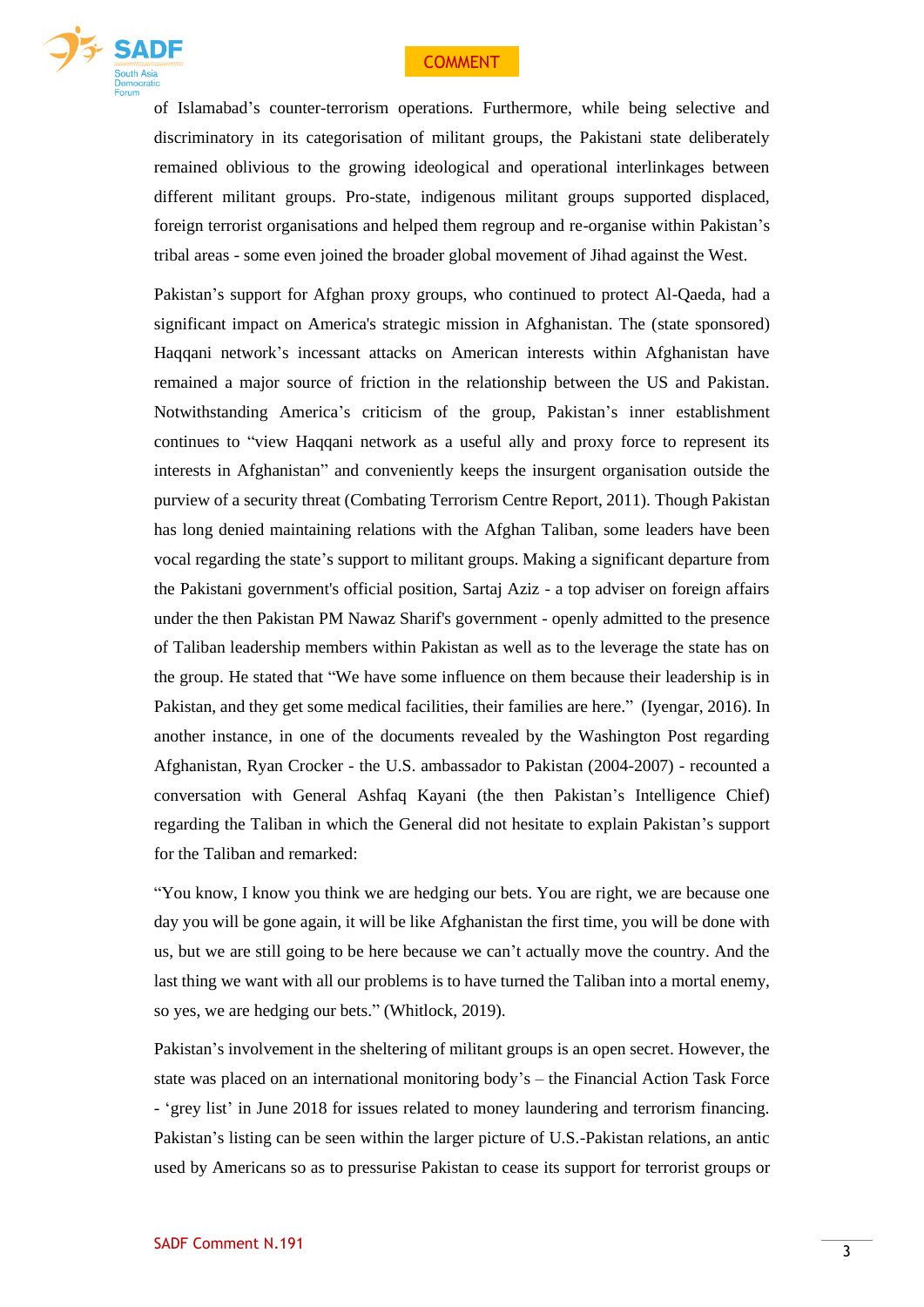# COMMENT



of Islamabad's counter-terrorism operations. Furthermore, while being selective and discriminatory in its categorisation of militant groups, the Pakistani state deliberately remained oblivious to the growing ideological and operational interlinkages between different militant groups. Pro-state, indigenous militant groups supported displaced, foreign terrorist organisations and helped them regroup and re-organise within Pakistan's tribal areas - some even joined the broader global movement of Jihad against the West.

Pakistan's support for Afghan proxy groups, who continued to protect Al-Qaeda, had a significant impact on America's strategic mission in Afghanistan. The (state sponsored) Haqqani network's incessant attacks on American interests within Afghanistan have remained a major source of friction in the relationship between the US and Pakistan. Notwithstanding America's criticism of the group, Pakistan's inner establishment continues to "view Haqqani network as a useful ally and proxy force to represent its interests in Afghanistan" and conveniently keeps the insurgent organisation outside the purview of a security threat (Combating Terrorism Centre Report, 2011). Though Pakistan has long denied maintaining relations with the Afghan Taliban, some leaders have been vocal regarding the state's support to militant groups. Making a significant departure from the Pakistani government's official position, Sartaj Aziz - a top adviser on foreign affairs under the then Pakistan PM Nawaz Sharif's government - openly admitted to the presence of Taliban leadership members within Pakistan as well as to the leverage the state has on the group. He stated that "We have some influence on them because their leadership is in Pakistan, and they get some medical facilities, their families are here." (Iyengar, 2016). In another instance, in one of the documents revealed by the Washington Post regarding Afghanistan, Ryan Crocker - the U.S. ambassador to Pakistan (2004-2007) - recounted a conversation with General Ashfaq Kayani (the then Pakistan's Intelligence Chief) regarding the Taliban in which the General did not hesitate to explain Pakistan's support for the Taliban and remarked:

"You know, I know you think we are hedging our bets. You are right, we are because one day you will be gone again, it will be like Afghanistan the first time, you will be done with us, but we are still going to be here because we can't actually move the country. And the last thing we want with all our problems is to have turned the Taliban into a mortal enemy, so yes, we are hedging our bets." (Whitlock, 2019).

Pakistan's involvement in the sheltering of militant groups is an open secret. However, the state was placed on an international monitoring body's – the Financial Action Task Force - 'grey list' in June 2018 for issues related to money laundering and terrorism financing. Pakistan's listing can be seen within the larger picture of U.S.-Pakistan relations, an antic used by Americans so as to pressurise Pakistan to cease its support for terrorist groups or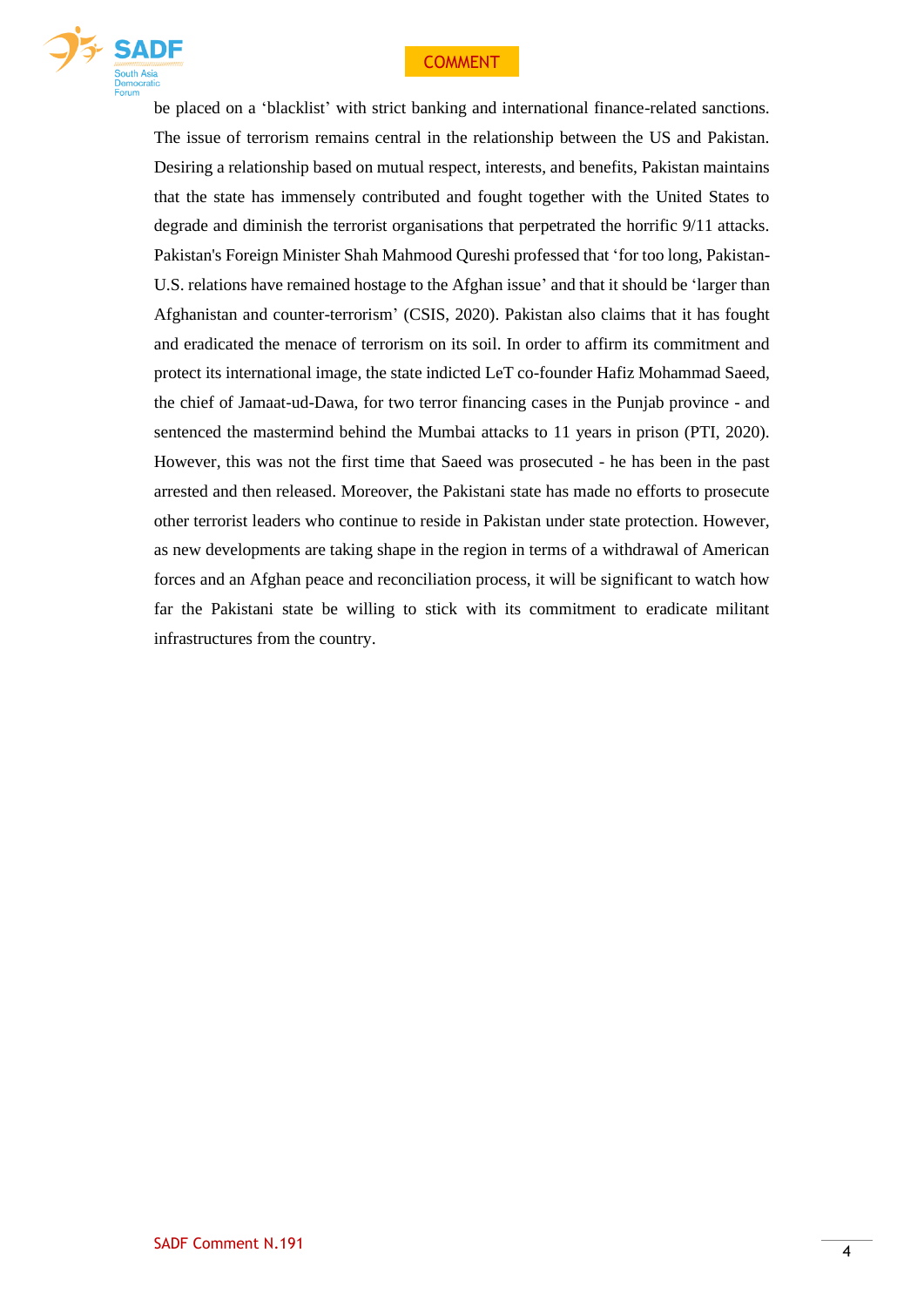# **COMMENT**



be placed on a 'blacklist' with strict banking and international finance-related sanctions. The issue of terrorism remains central in the relationship between the US and Pakistan. Desiring a relationship based on mutual respect, interests, and benefits, Pakistan maintains that the state has immensely contributed and fought together with the United States to degrade and diminish the terrorist organisations that perpetrated the horrific 9/11 attacks. Pakistan's Foreign Minister Shah Mahmood Qureshi professed that 'for too long, Pakistan-U.S. relations have remained hostage to the Afghan issue' and that it should be 'larger than Afghanistan and counter-terrorism' (CSIS, 2020). Pakistan also claims that it has fought and eradicated the menace of terrorism on its soil. In order to affirm its commitment and protect its international image, the state indicted LeT co-founder Hafiz Mohammad Saeed, the chief of Jamaat-ud-Dawa, for two terror financing cases in the Punjab province - and sentenced the mastermind behind the Mumbai attacks to 11 years in prison (PTI, 2020). However, this was not the first time that Saeed was prosecuted - he has been in the past arrested and then released. Moreover, the Pakistani state has made no efforts to prosecute other terrorist leaders who continue to reside in Pakistan under state protection. However, as new developments are taking shape in the region in terms of a withdrawal of American forces and an Afghan peace and reconciliation process, it will be significant to watch how far the Pakistani state be willing to stick with its commitment to eradicate militant infrastructures from the country.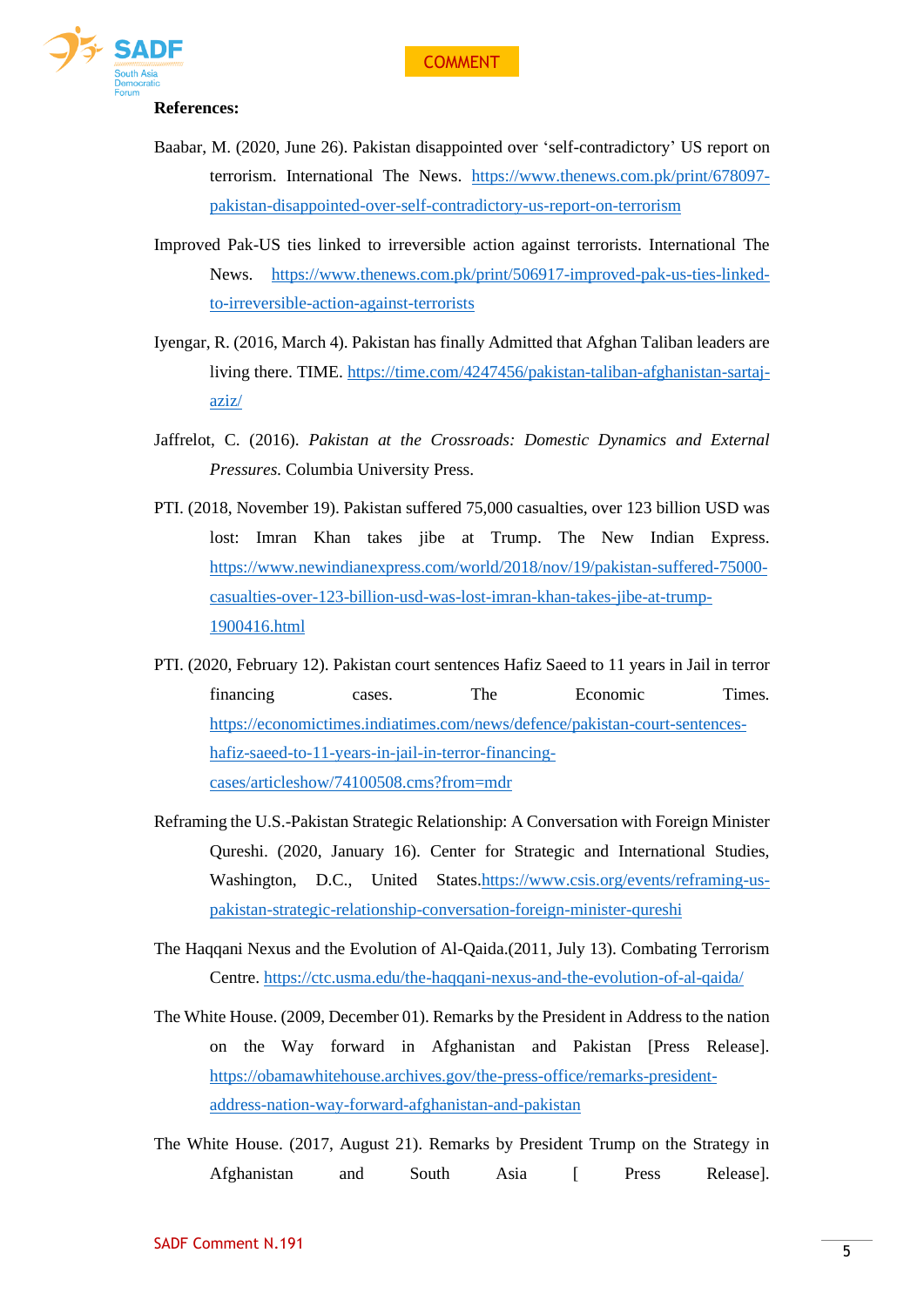

#### **References:**

- Baabar, M. (2020, June 26). Pakistan disappointed over 'self-contradictory' US report on terrorism. International The News. [https://www.thenews.com.pk/print/678097](https://www.thenews.com.pk/print/678097-pakistan-disappointed-over-self-contradictory-us-report-on-terrorism) [pakistan-disappointed-over-self-contradictory-us-report-on-terrorism](https://www.thenews.com.pk/print/678097-pakistan-disappointed-over-self-contradictory-us-report-on-terrorism)
- Improved Pak-US ties linked to irreversible action against terrorists. International The News. [https://www.thenews.com.pk/print/506917-improved-pak-us-ties-linked](https://www.thenews.com.pk/print/506917-improved-pak-us-ties-linked-to-irreversible-action-against-terrorists)[to-irreversible-action-against-terrorists](https://www.thenews.com.pk/print/506917-improved-pak-us-ties-linked-to-irreversible-action-against-terrorists)
- Iyengar, R. (2016, March 4). Pakistan has finally Admitted that Afghan Taliban leaders are living there. TIME. [https://time.com/4247456/pakistan-taliban-afghanistan-sartaj](https://time.com/4247456/pakistan-taliban-afghanistan-sartaj-aziz/)[aziz/](https://time.com/4247456/pakistan-taliban-afghanistan-sartaj-aziz/)
- Jaffrelot, C. (2016). *Pakistan at the Crossroads: Domestic Dynamics and External Pressures.* Columbia University Press.
- PTI. (2018, November 19). Pakistan suffered 75,000 casualties, over 123 billion USD was lost: Imran Khan takes jibe at Trump. The New Indian Express. [https://www.newindianexpress.com/world/2018/nov/19/pakistan-suffered-75000](https://www.newindianexpress.com/world/2018/nov/19/pakistan-suffered-75000-casualties-over-123-billion-usd-was-lost-imran-khan-takes-jibe-at-trump-1900416.html) [casualties-over-123-billion-usd-was-lost-imran-khan-takes-jibe-at-trump-](https://www.newindianexpress.com/world/2018/nov/19/pakistan-suffered-75000-casualties-over-123-billion-usd-was-lost-imran-khan-takes-jibe-at-trump-1900416.html)[1900416.html](https://www.newindianexpress.com/world/2018/nov/19/pakistan-suffered-75000-casualties-over-123-billion-usd-was-lost-imran-khan-takes-jibe-at-trump-1900416.html)
- PTI. (2020, February 12). Pakistan court sentences Hafiz Saeed to 11 years in Jail in terror financing cases. The Economic Times. [https://economictimes.indiatimes.com/news/defence/pakistan-court-sentences](https://economictimes.indiatimes.com/news/defence/pakistan-court-sentences-hafiz-saeed-to-11-years-in-jail-in-terror-financing-cases/articleshow/74100508.cms?from=mdr)[hafiz-saeed-to-11-years-in-jail-in-terror-financing](https://economictimes.indiatimes.com/news/defence/pakistan-court-sentences-hafiz-saeed-to-11-years-in-jail-in-terror-financing-cases/articleshow/74100508.cms?from=mdr)[cases/articleshow/74100508.cms?from=mdr](https://economictimes.indiatimes.com/news/defence/pakistan-court-sentences-hafiz-saeed-to-11-years-in-jail-in-terror-financing-cases/articleshow/74100508.cms?from=mdr)
- Reframing the U.S.-Pakistan Strategic Relationship: A Conversation with Foreign Minister Qureshi. (2020, January 16). Center for Strategic and International Studies, Washington, D.C., United States[.https://www.csis.org/events/reframing-us](https://www.csis.org/events/reframing-us-pakistan-strategic-relationship-conversation-foreign-minister-qureshi)[pakistan-strategic-relationship-conversation-foreign-minister-qureshi](https://www.csis.org/events/reframing-us-pakistan-strategic-relationship-conversation-foreign-minister-qureshi)
- The Haqqani Nexus and the Evolution of Al-Qaida.(2011, July 13). Combating Terrorism Centre.<https://ctc.usma.edu/the-haqqani-nexus-and-the-evolution-of-al-qaida/>
- The White House. (2009, December 01). Remarks by the President in Address to the nation on the Way forward in Afghanistan and Pakistan [Press Release]. [https://obamawhitehouse.archives.gov/the-press-office/remarks-president](https://obamawhitehouse.archives.gov/the-press-office/remarks-president-address-nation-way-forward-afghanistan-and-pakistan)[address-nation-way-forward-afghanistan-and-pakistan](https://obamawhitehouse.archives.gov/the-press-office/remarks-president-address-nation-way-forward-afghanistan-and-pakistan)
- The White House. (2017, August 21). Remarks by President Trump on the Strategy in Afghanistan and South Asia [ Press Release].